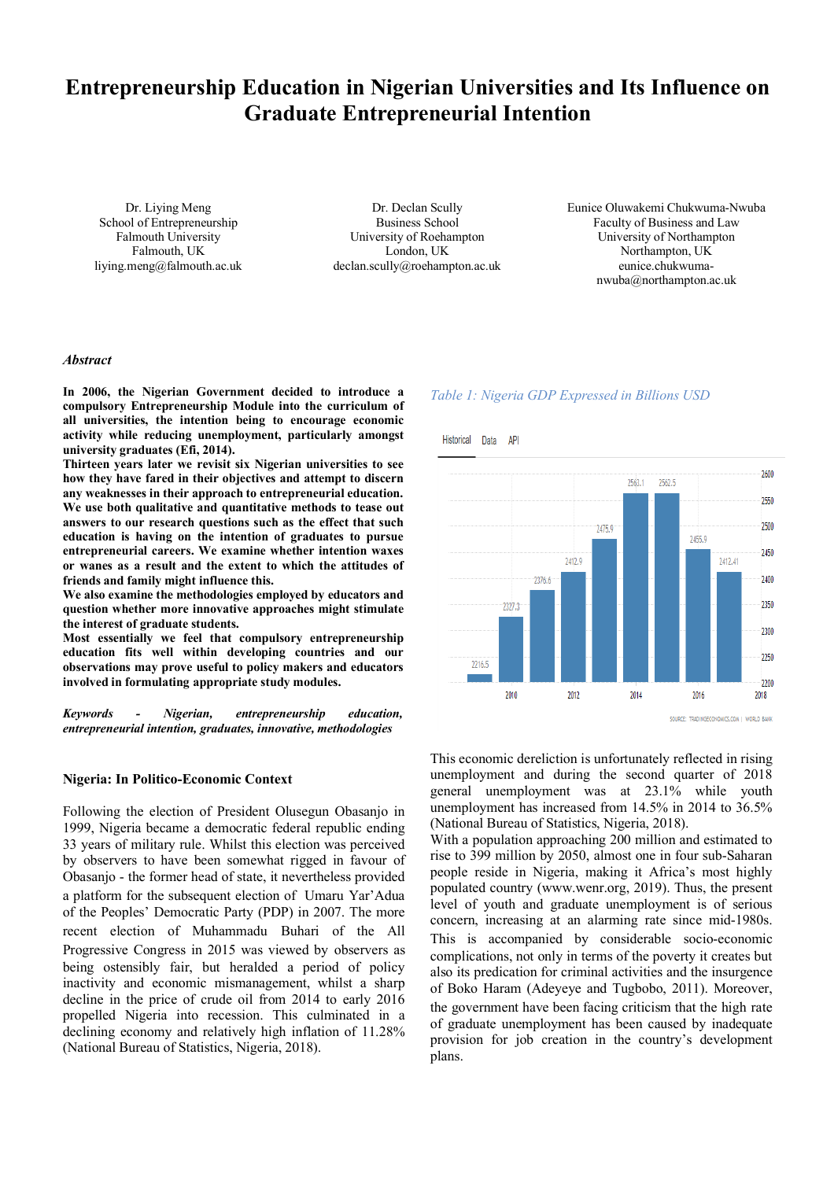# **Entrepreneurship Education in Nigerian Universities and Its Influence on Graduate Entrepreneurial Intention**

Dr. Liying Meng School of Entrepreneurship Falmouth University Falmouth, UK liying.meng@falmouth.ac.uk

Dr. Declan Scully Business School University of Roehampton London, UK declan.scully@roehampton.ac.uk Eunice Oluwakemi Chukwuma-Nwuba Faculty of Business and Law University of Northampton Northampton, UK eunice.chukwumanwuba@northampton.ac.uk

#### *Abstract*

**In 2006, the Nigerian Government decided to introduce a compulsory Entrepreneurship Module into the curriculum of all universities, the intention being to encourage economic activity while reducing unemployment, particularly amongst university graduates (Efi, 2014).**

**Thirteen years later we revisit six Nigerian universities to see how they have fared in their objectives and attempt to discern any weaknesses in their approach to entrepreneurial education. We use both qualitative and quantitative methods to tease out answers to our research questions such as the effect that such education is having on the intention of graduates to pursue entrepreneurial careers. We examine whether intention waxes or wanes as a result and the extent to which the attitudes of friends and family might influence this.**

**We also examine the methodologies employed by educators and question whether more innovative approaches might stimulate the interest of graduate students.**

**Most essentially we feel that compulsory entrepreneurship education fits well within developing countries and our observations may prove useful to policy makers and educators involved in formulating appropriate study modules.**

*Keywords - Nigerian, entrepreneurship education, entrepreneurial intention, graduates, innovative, methodologies*

#### **Nigeria: In Politico-Economic Context**

Following the election of President Olusegun Obasanjo in 1999, Nigeria became a democratic federal republic ending 33 years of military rule. Whilst this election was perceived by observers to have been somewhat rigged in favour of Obasanjo - the former head of state, it nevertheless provided a platform for the subsequent election of Umaru Yar'Adua of the Peoples' Democratic Party (PDP) in 2007. The more recent election of Muhammadu Buhari of the All Progressive Congress in 2015 was viewed by observers as being ostensibly fair, but heralded a period of policy inactivity and economic mismanagement, whilst a sharp decline in the price of crude oil from 2014 to early 2016 propelled Nigeria into recession. This culminated in a declining economy and relatively high inflation of 11.28% (National Bureau of Statistics, Nigeria, 2018).

#### *Table 1: Nigeria GDP Expressed in Billions USD*



This economic dereliction is unfortunately reflected in rising unemployment and during the second quarter of 2018 general unemployment was at 23.1% while youth unemployment has increased from 14.5% in 2014 to 36.5% (National Bureau of Statistics, Nigeria, 2018).

With a population approaching 200 million and estimated to rise to 399 million by 2050, almost one in four sub-Saharan people reside in Nigeria, making it Africa's most highly populated country (www.wenr.org, 2019). Thus, the present level of youth and graduate unemployment is of serious concern, increasing at an alarming rate since mid-1980s. This is accompanied by considerable socio-economic complications, not only in terms of the poverty it creates but also its predication for criminal activities and the insurgence of Boko Haram (Adeyeye and Tugbobo, 2011). Moreover, the government have been facing criticism that the high rate of graduate unemployment has been caused by inadequate provision for job creation in the country's development plans.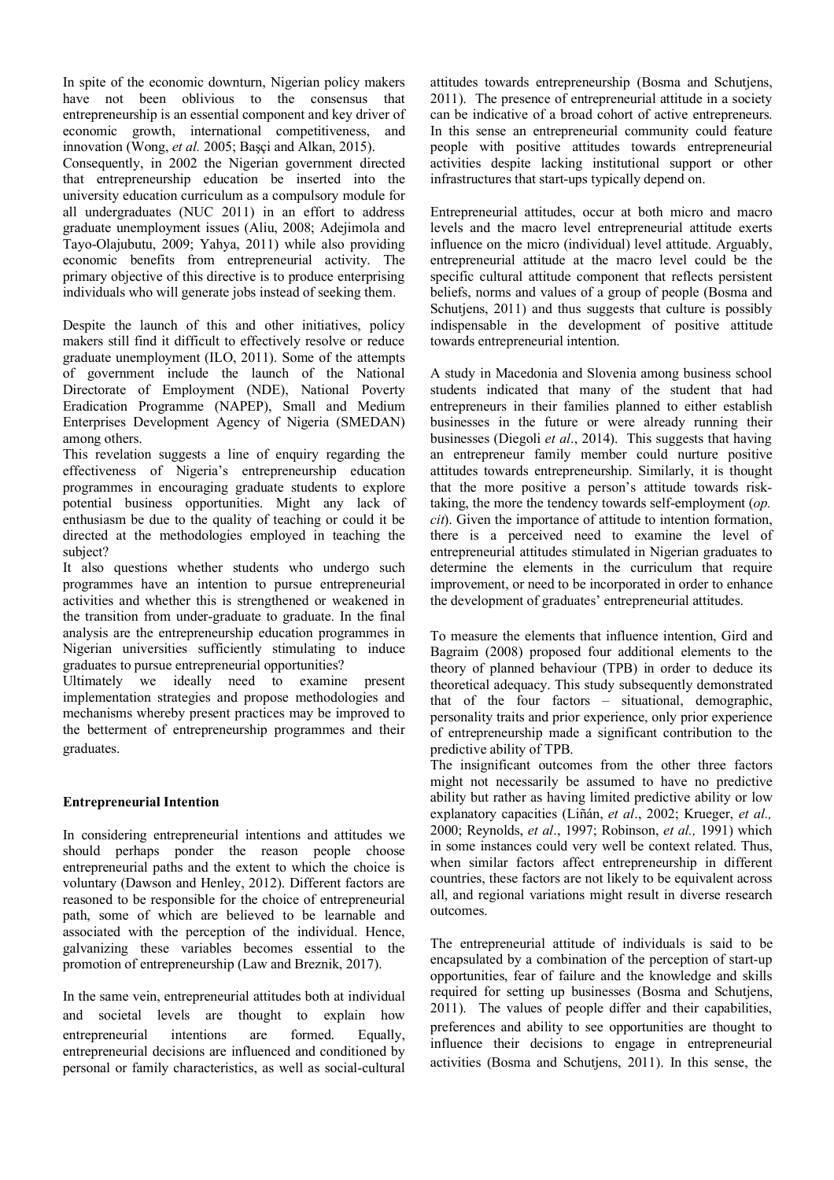In spite of the economic downturn, Nigerian policy makers have not been oblivious to the consensus that entrepreneurship is an essential component and key driver of economic growth, international competitiveness, and innovation (Wong, *et al.* 2005; Başçi and Alkan, 2015).

Consequently, in 2002 the Nigerian government directed that entrepreneurship education be inserted into the university education curriculum as a compulsory module for all undergraduates (NUC 2011) in an effort to address graduate unemployment issues (Aliu, 2008; Adejimola and Tayo-Olajubutu, 2009; Yahya, 2011) while also providing economic benefits from entrepreneurial activity. The primary objective of this directive is to produce enterprising individuals who will generate jobs instead of seeking them.

Despite the launch of this and other initiatives, policy makers still find it difficult to effectively resolve or reduce graduate unemployment (ILO, 2011). Some of the attempts of government include the launch of the National Directorate of Employment (NDE), National Poverty Eradication Programme (NAPEP), Small and Medium Enterprises Development Agency of Nigeria (SMEDAN) among others.

This revelation suggests a line of enquiry regarding the effectiveness of Nigeria's entrepreneurship education programmes in encouraging graduate students to explore potential business opportunities. Might any lack of enthusiasm be due to the quality of teaching or could it be directed at the methodologies employed in teaching the subject?

It also questions whether students who undergo such programmes have an intention to pursue entrepreneurial activities and whether this is strengthened or weakened in the transition from under-graduate to graduate. In the final analysis are the entrepreneurship education programmes in Nigerian universities sufficiently stimulating to induce graduates to pursue entrepreneurial opportunities?

Ultimately we ideally need to examine present implementation strategies and propose methodologies and mechanisms whereby present practices may be improved to the betterment of entrepreneurship programmes and their graduates.

## **Entrepreneurial Intention**

In considering entrepreneurial intentions and attitudes we should perhaps ponder the reason people choose entrepreneurial paths and the extent to which the choice is voluntary (Dawson and Henley, 2012). Different factors are reasoned to be responsible for the choice of entrepreneurial path, some of which are believed to be learnable and associated with the perception of the individual. Hence, galvanizing these variables becomes essential to the promotion of entrepreneurship (Law and Breznik, 2017).

In the same vein, entrepreneurial attitudes both at individual and societal levels are thought to explain how entrepreneurial intentions are formed. Equally, entrepreneurial decisions are influenced and conditioned by personal or family characteristics, as well as social-cultural attitudes towards entrepreneurship (Bosma and Schutjens, 2011). The presence of entrepreneurial attitude in a society can be indicative of a broad cohort of active entrepreneurs. In this sense an entrepreneurial community could feature people with positive attitudes towards entrepreneurial activities despite lacking institutional support or other infrastructures that start-ups typically depend on.

Entrepreneurial attitudes, occur at both micro and macro levels and the macro level entrepreneurial attitude exerts influence on the micro (individual) level attitude. Arguably, entrepreneurial attitude at the macro level could be the specific cultural attitude component that reflects persistent beliefs, norms and values of a group of people (Bosma and Schutjens, 2011) and thus suggests that culture is possibly indispensable in the development of positive attitude towards entrepreneurial intention.

A study in Macedonia and Slovenia among business school students indicated that many of the student that had entrepreneurs in their families planned to either establish businesses in the future or were already running their businesses (Diegoli *et al*., 2014). This suggests that having an entrepreneur family member could nurture positive attitudes towards entrepreneurship. Similarly, it is thought that the more positive a person's attitude towards risktaking, the more the tendency towards self-employment (*op. cit*). Given the importance of attitude to intention formation, there is a perceived need to examine the level of entrepreneurial attitudes stimulated in Nigerian graduates to determine the elements in the curriculum that require improvement, or need to be incorporated in order to enhance the development of graduates' entrepreneurial attitudes.

To measure the elements that influence intention, Gird and Bagraim (2008) proposed four additional elements to the theory of planned behaviour (TPB) in order to deduce its theoretical adequacy. This study subsequently demonstrated that of the four factors – situational, demographic, personality traits and prior experience, only prior experience of entrepreneurship made a significant contribution to the predictive ability of TPB.

The insignificant outcomes from the other three factors might not necessarily be assumed to have no predictive ability but rather as having limited predictive ability or low explanatory capacities (Liñán, *et al*., 2002; Krueger, *et al.,* 2000; Reynolds, *et al*., 1997; Robinson, *et al.,* 1991) which in some instances could very well be context related. Thus, when similar factors affect entrepreneurship in different countries, these factors are not likely to be equivalent across all, and regional variations might result in diverse research outcomes.

The entrepreneurial attitude of individuals is said to be encapsulated by a combination of the perception of start-up opportunities, fear of failure and the knowledge and skills required for setting up businesses (Bosma and Schutjens, 2011). The values of people differ and their capabilities, preferences and ability to see opportunities are thought to influence their decisions to engage in entrepreneurial activities (Bosma and Schutjens, 2011). In this sense, the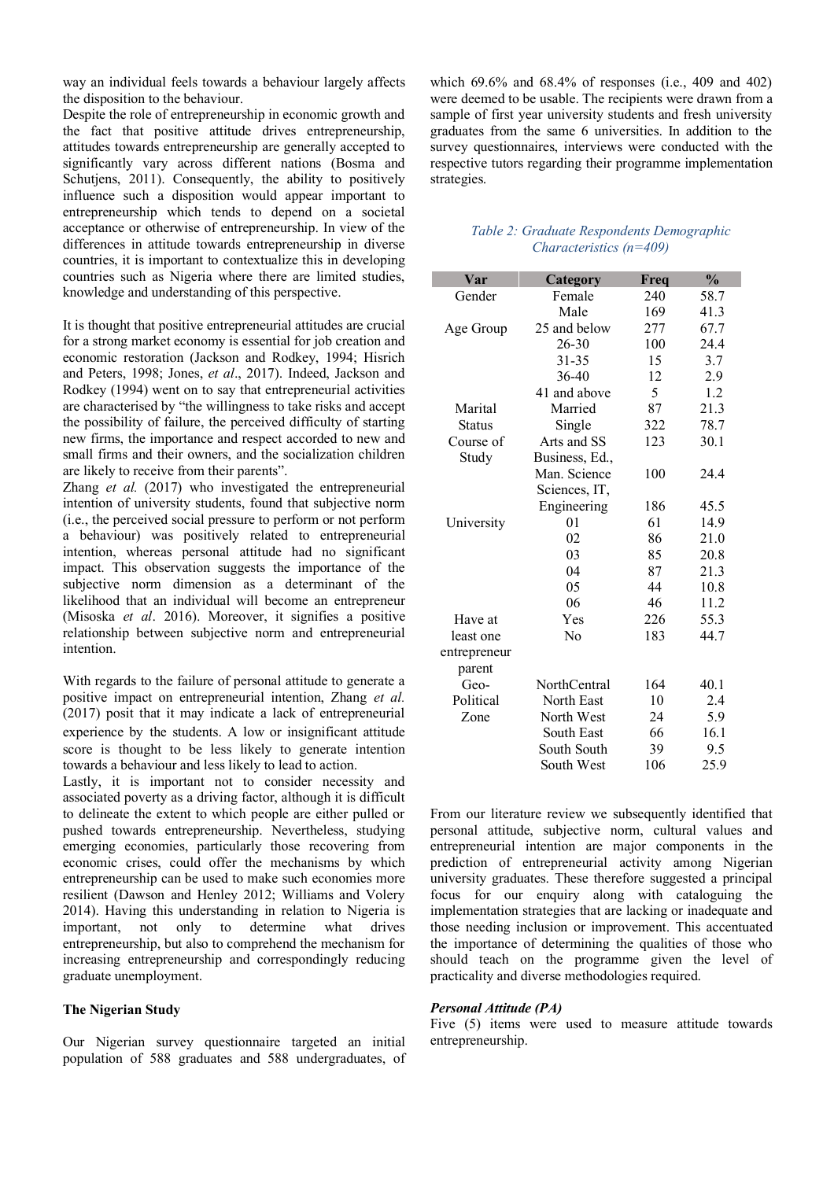way an individual feels towards a behaviour largely affects the disposition to the behaviour.

Despite the role of entrepreneurship in economic growth and the fact that positive attitude drives entrepreneurship, attitudes towards entrepreneurship are generally accepted to significantly vary across different nations (Bosma and Schutjens, 2011). Consequently, the ability to positively influence such a disposition would appear important to entrepreneurship which tends to depend on a societal acceptance or otherwise of entrepreneurship. In view of the differences in attitude towards entrepreneurship in diverse countries, it is important to contextualize this in developing countries such as Nigeria where there are limited studies, knowledge and understanding of this perspective.

It is thought that positive entrepreneurial attitudes are crucial for a strong market economy is essential for job creation and economic restoration (Jackson and Rodkey, 1994; Hisrich and Peters, 1998; Jones, *et al*., 2017). Indeed, Jackson and Rodkey (1994) went on to say that entrepreneurial activities are characterised by "the willingness to take risks and accept the possibility of failure, the perceived difficulty of starting new firms, the importance and respect accorded to new and small firms and their owners, and the socialization children are likely to receive from their parents".

Zhang *et al.* (2017) who investigated the entrepreneurial intention of university students, found that subjective norm (i.e., the perceived social pressure to perform or not perform a behaviour) was positively related to entrepreneurial intention, whereas personal attitude had no significant impact. This observation suggests the importance of the subjective norm dimension as a determinant of the likelihood that an individual will become an entrepreneur (Misoska *et al*. 2016). Moreover, it signifies a positive relationship between subjective norm and entrepreneurial intention.

With regards to the failure of personal attitude to generate a positive impact on entrepreneurial intention, Zhang *et al.* (2017) posit that it may indicate a lack of entrepreneurial experience by the students. A low or insignificant attitude score is thought to be less likely to generate intention towards a behaviour and less likely to lead to action.

Lastly, it is important not to consider necessity and associated poverty as a driving factor, although it is difficult to delineate the extent to which people are either pulled or pushed towards entrepreneurship. Nevertheless, studying emerging economies, particularly those recovering from economic crises, could offer the mechanisms by which entrepreneurship can be used to make such economies more resilient (Dawson and Henley 2012; Williams and Volery 2014). Having this understanding in relation to Nigeria is important, not only to determine what drives entrepreneurship, but also to comprehend the mechanism for increasing entrepreneurship and correspondingly reducing graduate unemployment.

## **The Nigerian Study**

Our Nigerian survey questionnaire targeted an initial population of 588 graduates and 588 undergraduates, of

which 69.6% and 68.4% of responses (i.e., 409 and 402) were deemed to be usable. The recipients were drawn from a sample of first year university students and fresh university graduates from the same 6 universities. In addition to the survey questionnaires, interviews were conducted with the respective tutors regarding their programme implementation strategies.

## *Table 2: Graduate Respondents Demographic Characteristics (n=409)*

| Var           | Category       | Freq | $\frac{0}{0}$ |
|---------------|----------------|------|---------------|
| Gender        | Female         | 240  | 58.7          |
|               | Male           | 169  | 41.3          |
| Age Group     | 25 and below   | 277  | 67.7          |
|               | 26-30          | 100  | 24.4          |
|               | $31 - 35$      | 15   | 3.7           |
|               | 36-40          | 12   | 2.9           |
|               | 41 and above   | 5    | 1.2           |
| Marital       | Married        | 87   | 21.3          |
| <b>Status</b> | Single         | 322  | 78.7          |
| Course of     | Arts and SS    | 123  | 30.1          |
| Study         | Business, Ed., |      |               |
|               | Man. Science   | 100  | 24.4          |
|               | Sciences, IT,  |      |               |
|               | Engineering    | 186  | 45.5          |
| University    | 01             | 61   | 14.9          |
|               | 02             | 86   | 21.0          |
|               | 03             | 85   | 20.8          |
|               | 04             | 87   | 21.3          |
|               | 05             | 44   | 10.8          |
|               | 06             | 46   | 11.2          |
| Have at       | Yes            | 226  | 55.3          |
| least one     | N <sub>0</sub> | 183  | 44.7          |
| entrepreneur  |                |      |               |
| parent        |                |      |               |
| Geo-          | NorthCentral   | 164  | 40.1          |
| Political     | North East     | 10   | 2.4           |
| Zone          | North West     | 24   | 5.9           |
|               | South East     | 66   | 16.1          |
|               | South South    | 39   | 9.5           |
|               | South West     | 106  | 25.9          |

From our literature review we subsequently identified that personal attitude, subjective norm, cultural values and entrepreneurial intention are major components in the prediction of entrepreneurial activity among Nigerian university graduates. These therefore suggested a principal focus for our enquiry along with cataloguing the implementation strategies that are lacking or inadequate and those needing inclusion or improvement. This accentuated the importance of determining the qualities of those who should teach on the programme given the level of practicality and diverse methodologies required.

#### *Personal Attitude (PA)*

Five (5) items were used to measure attitude towards entrepreneurship.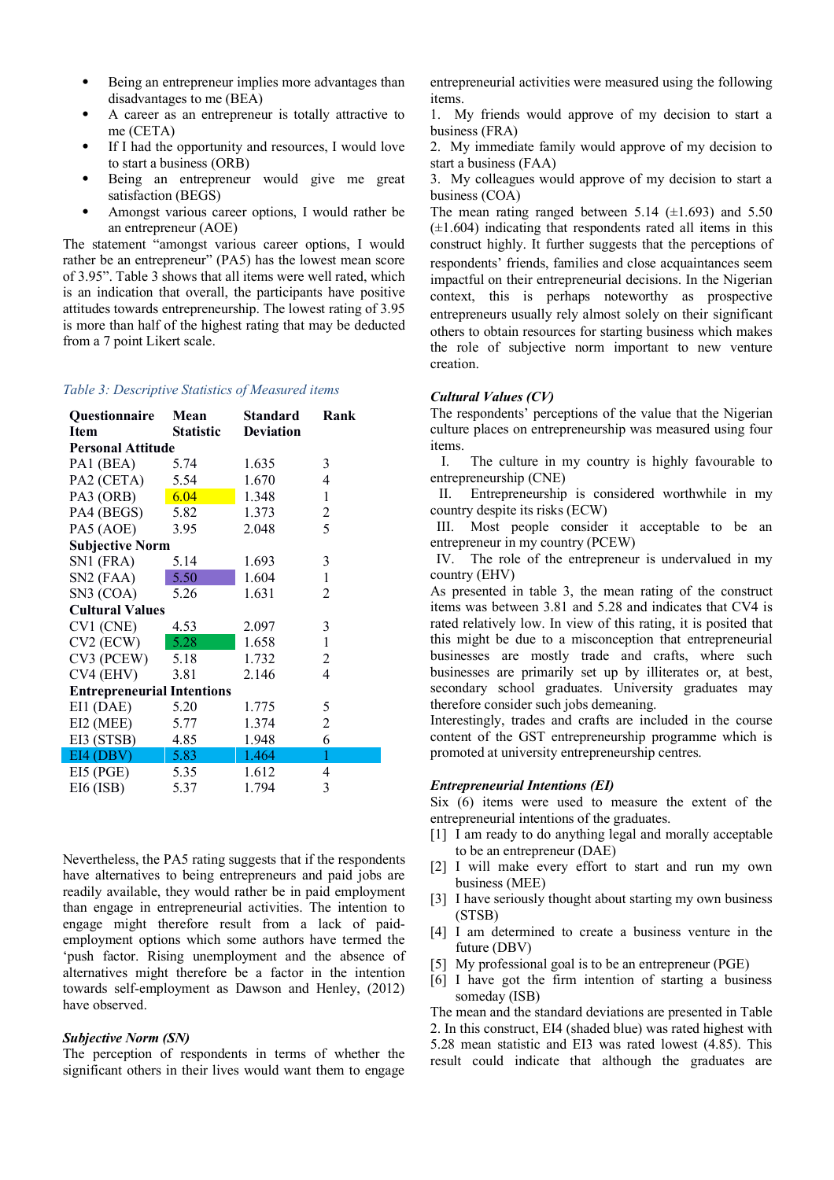- Being an entrepreneur implies more advantages than disadvantages to me (BEA)
- A career as an entrepreneur is totally attractive to me (CETA)
- If I had the opportunity and resources, I would love to start a business (ORB)
- Being an entrepreneur would give me great satisfaction (BEGS)
- Amongst various career options, I would rather be an entrepreneur (AOE)

The statement "amongst various career options, I would rather be an entrepreneur" (PA5) has the lowest mean score of 3.95". Table 3 shows that all items were well rated, which is an indication that overall, the participants have positive attitudes towards entrepreneurship. The lowest rating of 3.95 is more than half of the highest rating that may be deducted from a 7 point Likert scale.

#### *Table 3: Descriptive Statistics of Measured items*

| Questionnaire                     | Mean             | <b>Standard</b>  | Rank           |  |  |  |
|-----------------------------------|------------------|------------------|----------------|--|--|--|
| <b>Item</b>                       | <b>Statistic</b> | <b>Deviation</b> |                |  |  |  |
| <b>Personal Attitude</b>          |                  |                  |                |  |  |  |
| PA1 (BEA)                         | 5.74             | 1.635            | 3              |  |  |  |
| PA2 (CETA)                        | 5.54             | 1.670            | 4              |  |  |  |
| PA3 (ORB)                         | 6.04             | 1.348            | $\mathbf{1}$   |  |  |  |
| PA4 (BEGS)                        | 5.82             | 1.373            | $\mathbf{2}$   |  |  |  |
| PA5 (AOE)                         | 3.95             | 2.048            | 5              |  |  |  |
| <b>Subjective Norm</b>            |                  |                  |                |  |  |  |
| SN1 (FRA)                         | 5.14             | 1.693            | 3              |  |  |  |
| SN2 (FAA)                         | 5.50             | 1.604            | 1              |  |  |  |
| SN3 (COA)                         | 5.26             | 1.631            | 2              |  |  |  |
| <b>Cultural Values</b>            |                  |                  |                |  |  |  |
| $CV1$ (CNE)                       | 4.53             | 2.097            | $\mathfrak{Z}$ |  |  |  |
| $CV2$ (ECW)                       | 5.28             | 1.658            | $\mathbf{1}$   |  |  |  |
| CV3 (PCEW)                        | 5.18             | 1.732            | 2              |  |  |  |
| CV4 (EHV)                         | 3.81             | 2.146            | $\overline{4}$ |  |  |  |
| <b>Entrepreneurial Intentions</b> |                  |                  |                |  |  |  |
| EI1 (DAE)                         | 5.20             | 1.775            | 5              |  |  |  |
| EI2 (MEE)                         | 5.77             | 1.374            | $\overline{2}$ |  |  |  |
| EI3 (STSB)                        | 4.85             | 1.948            | 6              |  |  |  |
| E14(DBV)                          | 5.83             | 1.464            | 1              |  |  |  |
| E15(PGE)                          | 5.35             | 1.612            | 4              |  |  |  |
| $E16$ (ISB)                       | 5.37             | 1.794            | 3              |  |  |  |

Nevertheless, the PA5 rating suggests that if the respondents have alternatives to being entrepreneurs and paid jobs are readily available, they would rather be in paid employment than engage in entrepreneurial activities. The intention to engage might therefore result from a lack of paidemployment options which some authors have termed the 'push factor. Rising unemployment and the absence of alternatives might therefore be a factor in the intention towards self-employment as Dawson and Henley, (2012) have observed.

#### *Subjective Norm (SN)*

The perception of respondents in terms of whether the significant others in their lives would want them to engage entrepreneurial activities were measured using the following items.

1. My friends would approve of my decision to start a business (FRA)

2. My immediate family would approve of my decision to start a business (FAA)

3. My colleagues would approve of my decision to start a business (COA)

The mean rating ranged between 5.14  $(\pm 1.693)$  and 5.50  $(\pm 1.604)$  indicating that respondents rated all items in this construct highly. It further suggests that the perceptions of respondents' friends, families and close acquaintances seem impactful on their entrepreneurial decisions. In the Nigerian context, this is perhaps noteworthy as prospective entrepreneurs usually rely almost solely on their significant others to obtain resources for starting business which makes the role of subjective norm important to new venture creation.

#### *Cultural Values (CV)*

The respondents' perceptions of the value that the Nigerian culture places on entrepreneurship was measured using four items.

I. The culture in my country is highly favourable to entrepreneurship (CNE)

II. Entrepreneurship is considered worthwhile in my country despite its risks (ECW)

III. Most people consider it acceptable to be an entrepreneur in my country (PCEW)

IV. The role of the entrepreneur is undervalued in my country (EHV)

As presented in table 3, the mean rating of the construct items was between 3.81 and 5.28 and indicates that CV4 is rated relatively low. In view of this rating, it is posited that this might be due to a misconception that entrepreneurial businesses are mostly trade and crafts, where such businesses are primarily set up by illiterates or, at best, secondary school graduates. University graduates may therefore consider such jobs demeaning.

Interestingly, trades and crafts are included in the course content of the GST entrepreneurship programme which is promoted at university entrepreneurship centres.

#### *Entrepreneurial Intentions (EI)*

Six (6) items were used to measure the extent of the entrepreneurial intentions of the graduates.

- [1] I am ready to do anything legal and morally acceptable to be an entrepreneur (DAE)
- [2] I will make every effort to start and run my own business (MEE)
- [3] I have seriously thought about starting my own business (STSB)
- [4] I am determined to create a business venture in the future (DBV)
- [5] My professional goal is to be an entrepreneur (PGE)
- [6] I have got the firm intention of starting a business someday (ISB)

The mean and the standard deviations are presented in Table 2. In this construct, EI4 (shaded blue) was rated highest with 5.28 mean statistic and EI3 was rated lowest (4.85). This result could indicate that although the graduates are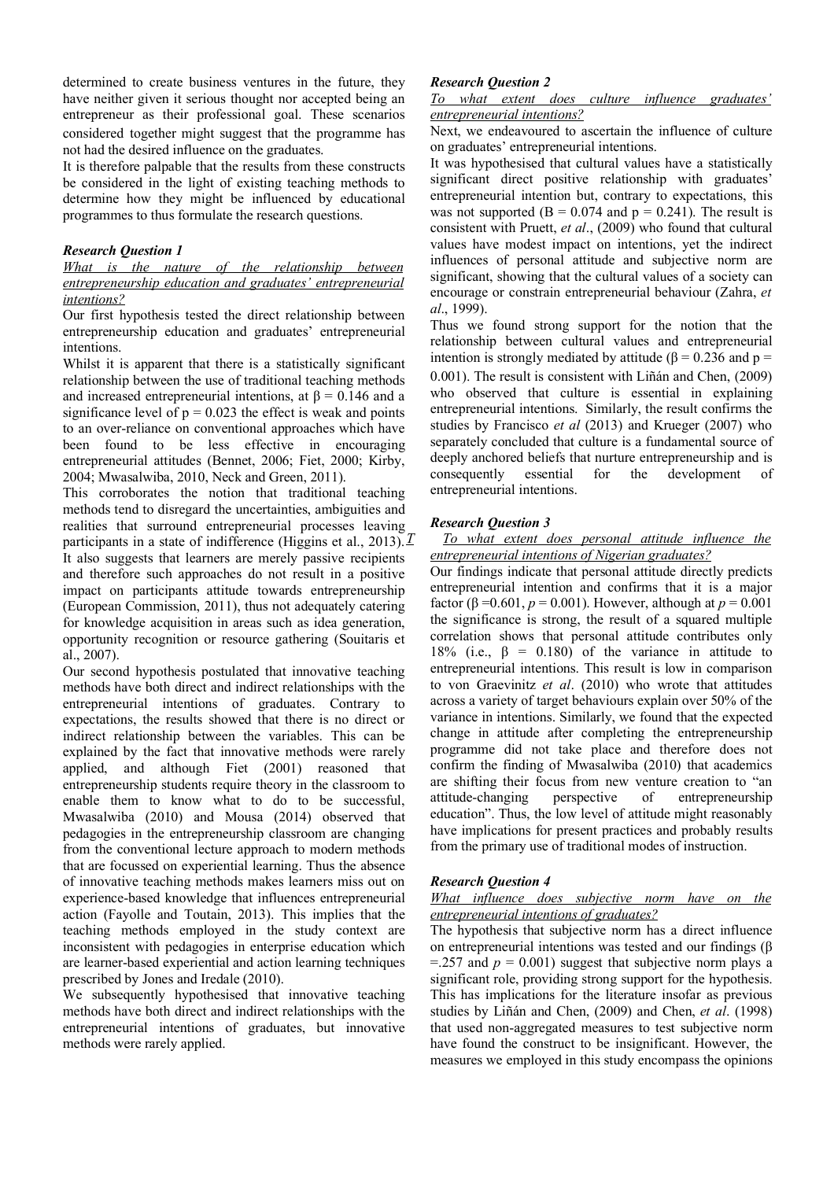determined to create business ventures in the future, they have neither given it serious thought nor accepted being an entrepreneur as their professional goal. These scenarios considered together might suggest that the programme has not had the desired influence on the graduates.

It is therefore palpable that the results from these constructs be considered in the light of existing teaching methods to determine how they might be influenced by educational programmes to thus formulate the research questions.

#### *Research Question 1*

## *What is the nature of the relationship between entrepreneurship education and graduates' entrepreneurial intentions?*

Our first hypothesis tested the direct relationship between entrepreneurship education and graduates' entrepreneurial intentions.

Whilst it is apparent that there is a statistically significant relationship between the use of traditional teaching methods and increased entrepreneurial intentions, at  $\beta = 0.146$  and a significance level of  $p = 0.023$  the effect is weak and points to an over-reliance on conventional approaches which have been found to be less effective in encouraging entrepreneurial attitudes (Bennet, 2006; Fiet, 2000; Kirby, 2004; Mwasalwiba, 2010, Neck and Green, 2011).

This corroborates the notion that traditional teaching methods tend to disregard the uncertainties, ambiguities and realities that surround entrepreneurial processes leaving participants in a state of indifference (Higgins et al., 2013).  $T$ It also suggests that learners are merely passive recipients and therefore such approaches do not result in a positive impact on participants attitude towards entrepreneurship (European Commission, 2011), thus not adequately catering for knowledge acquisition in areas such as idea generation, opportunity recognition or resource gathering (Souitaris et al., 2007).

Our second hypothesis postulated that innovative teaching methods have both direct and indirect relationships with the entrepreneurial intentions of graduates. Contrary to expectations, the results showed that there is no direct or indirect relationship between the variables. This can be explained by the fact that innovative methods were rarely applied, and although Fiet (2001) reasoned that entrepreneurship students require theory in the classroom to enable them to know what to do to be successful, Mwasalwiba (2010) and Mousa (2014) observed that pedagogies in the entrepreneurship classroom are changing from the conventional lecture approach to modern methods that are focussed on experiential learning. Thus the absence of innovative teaching methods makes learners miss out on experience-based knowledge that influences entrepreneurial action (Fayolle and Toutain, 2013). This implies that the teaching methods employed in the study context are inconsistent with pedagogies in enterprise education which are learner-based experiential and action learning techniques prescribed by Jones and Iredale (2010).

We subsequently hypothesised that innovative teaching methods have both direct and indirect relationships with the entrepreneurial intentions of graduates, but innovative methods were rarely applied.

# *Research Question 2*

*To what extent does culture influence graduates' entrepreneurial intentions?*

Next, we endeavoured to ascertain the influence of culture on graduates' entrepreneurial intentions.

It was hypothesised that cultural values have a statistically significant direct positive relationship with graduates' entrepreneurial intention but, contrary to expectations, this was not supported ( $B = 0.074$  and  $p = 0.241$ ). The result is consistent with Pruett, *et al*., (2009) who found that cultural values have modest impact on intentions, yet the indirect influences of personal attitude and subjective norm are significant, showing that the cultural values of a society can encourage or constrain entrepreneurial behaviour (Zahra, *et al*., 1999).

Thus we found strong support for the notion that the relationship between cultural values and entrepreneurial intention is strongly mediated by attitude ( $\beta$  = 0.236 and p = 0.001). The result is consistent with Liñán and Chen, (2009) who observed that culture is essential in explaining entrepreneurial intentions. Similarly, the result confirms the studies by Francisco *et al* (2013) and Krueger (2007) who separately concluded that culture is a fundamental source of deeply anchored beliefs that nurture entrepreneurship and is consequently essential for the development of entrepreneurial intentions.

## *Research Question 3*

## To what extent does personal attitude influence the *entrepreneurial intentions of Nigerian graduates?*

Our findings indicate that personal attitude directly predicts entrepreneurial intention and confirms that it is a major factor (β = 0.601,  $p = 0.001$ ). However, although at  $p = 0.001$ the significance is strong, the result of a squared multiple correlation shows that personal attitude contributes only 18% (i.e.,  $\beta = 0.180$ ) of the variance in attitude to entrepreneurial intentions. This result is low in comparison to von Graevinitz *et al*. (2010) who wrote that attitudes across a variety of target behaviours explain over 50% of the variance in intentions. Similarly, we found that the expected change in attitude after completing the entrepreneurship programme did not take place and therefore does not confirm the finding of Mwasalwiba (2010) that academics are shifting their focus from new venture creation to "an attitude-changing perspective of entrepreneurship education". Thus, the low level of attitude might reasonably have implications for present practices and probably results from the primary use of traditional modes of instruction.

# *Research Question 4*

## *What influence does subjective norm have on the entrepreneurial intentions of graduates?*

The hypothesis that subjective norm has a direct influence on entrepreneurial intentions was tested and our findings (β  $=$  257 and  $p = 0.001$ ) suggest that subjective norm plays a significant role, providing strong support for the hypothesis. This has implications for the literature insofar as previous studies by Liñán and Chen, (2009) and Chen, *et al*. (1998) that used non-aggregated measures to test subjective norm have found the construct to be insignificant. However, the measures we employed in this study encompass the opinions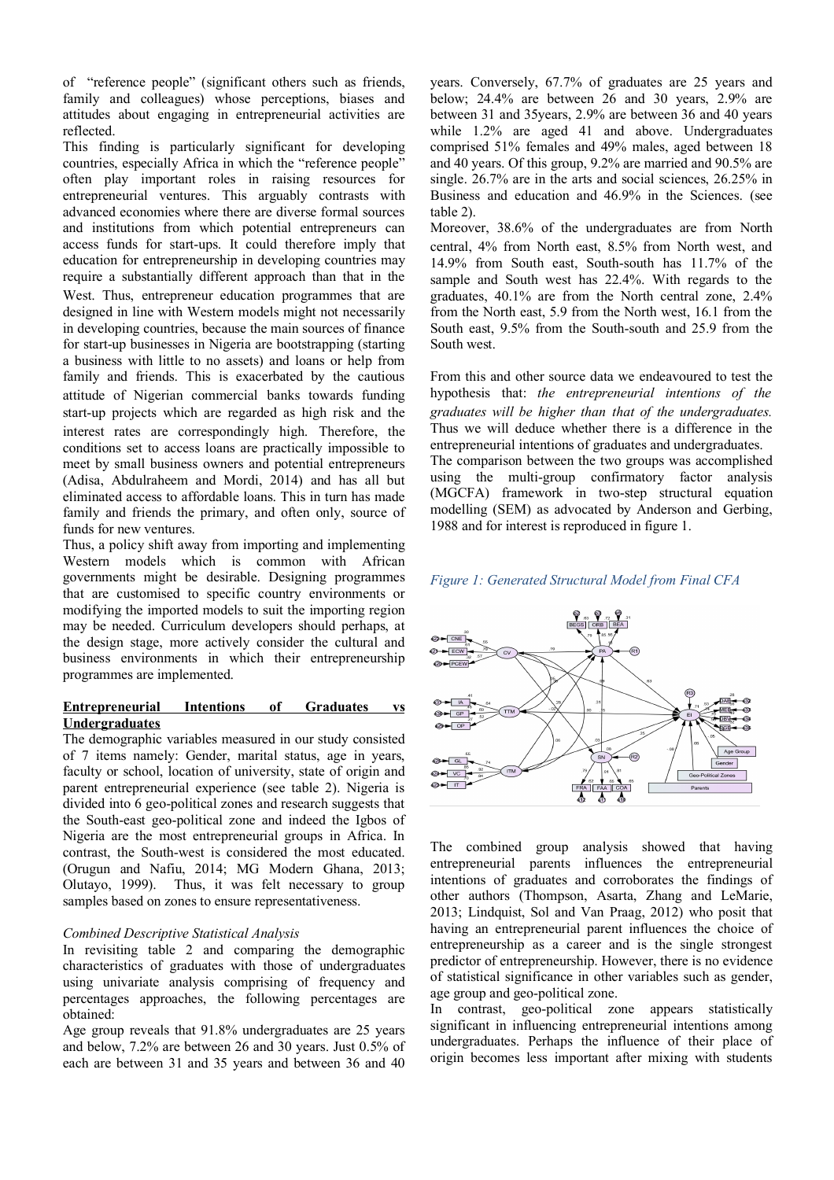of "reference people" (significant others such as friends, family and colleagues) whose perceptions, biases and attitudes about engaging in entrepreneurial activities are reflected.

This finding is particularly significant for developing countries, especially Africa in which the "reference people" often play important roles in raising resources for entrepreneurial ventures. This arguably contrasts with advanced economies where there are diverse formal sources and institutions from which potential entrepreneurs can access funds for start-ups. It could therefore imply that education for entrepreneurship in developing countries may require a substantially different approach than that in the West. Thus, entrepreneur education programmes that are designed in line with Western models might not necessarily in developing countries, because the main sources of finance for start-up businesses in Nigeria are bootstrapping (starting a business with little to no assets) and loans or help from family and friends. This is exacerbated by the cautious attitude of Nigerian commercial banks towards funding start-up projects which are regarded as high risk and the interest rates are correspondingly high. Therefore, the conditions set to access loans are practically impossible to meet by small business owners and potential entrepreneurs (Adisa, Abdulraheem and Mordi, 2014) and has all but eliminated access to affordable loans. This in turn has made family and friends the primary, and often only, source of funds for new ventures.

Thus, a policy shift away from importing and implementing Western models which is common with African governments might be desirable. Designing programmes that are customised to specific country environments or modifying the imported models to suit the importing region may be needed. Curriculum developers should perhaps, at the design stage, more actively consider the cultural and business environments in which their entrepreneurship programmes are implemented.

## **Entrepreneurial Intentions of Graduates vs Undergraduates**

The demographic variables measured in our study consisted of 7 items namely: Gender, marital status, age in years, faculty or school, location of university, state of origin and parent entrepreneurial experience (see table 2). Nigeria is divided into 6 geo-political zones and research suggests that the South-east geo-political zone and indeed the Igbos of Nigeria are the most entrepreneurial groups in Africa. In contrast, the South-west is considered the most educated. (Orugun and Nafiu, 2014; MG Modern Ghana, 2013; Olutayo, 1999). Thus, it was felt necessary to group samples based on zones to ensure representativeness.

## *Combined Descriptive Statistical Analysis*

In revisiting table 2 and comparing the demographic characteristics of graduates with those of undergraduates using univariate analysis comprising of frequency and percentages approaches, the following percentages are obtained:

Age group reveals that 91.8% undergraduates are 25 years and below, 7.2% are between 26 and 30 years. Just 0.5% of each are between 31 and 35 years and between 36 and 40

years. Conversely, 67.7% of graduates are 25 years and below; 24.4% are between 26 and 30 years, 2.9% are between 31 and 35years, 2.9% are between 36 and 40 years while 1.2% are aged 41 and above. Undergraduates comprised 51% females and 49% males, aged between 18 and 40 years. Of this group, 9.2% are married and 90.5% are single. 26.7% are in the arts and social sciences, 26.25% in Business and education and 46.9% in the Sciences. (see table 2).

Moreover, 38.6% of the undergraduates are from North central, 4% from North east, 8.5% from North west, and 14.9% from South east, South-south has 11.7% of the sample and South west has 22.4%. With regards to the graduates, 40.1% are from the North central zone, 2.4% from the North east, 5.9 from the North west, 16.1 from the South east, 9.5% from the South-south and 25.9 from the South west.

From this and other source data we endeavoured to test the hypothesis that: *the entrepreneurial intentions of the graduates will be higher than that of the undergraduates.* Thus we will deduce whether there is a difference in the entrepreneurial intentions of graduates and undergraduates. The comparison between the two groups was accomplished using the multi-group confirmatory factor analysis (MGCFA) framework in two-step structural equation modelling (SEM) as advocated by Anderson and Gerbing, 1988 and for interest is reproduced in figure 1.

## *Figure 1: Generated Structural Model from Final CFA*



The combined group analysis showed that having entrepreneurial parents influences the entrepreneurial intentions of graduates and corroborates the findings of other authors (Thompson, Asarta, Zhang and LeMarie, 2013; Lindquist, Sol and Van Praag, 2012) who posit that having an entrepreneurial parent influences the choice of entrepreneurship as a career and is the single strongest predictor of entrepreneurship. However, there is no evidence of statistical significance in other variables such as gender, age group and geo-political zone.

In contrast, geo-political zone appears statistically significant in influencing entrepreneurial intentions among undergraduates. Perhaps the influence of their place of origin becomes less important after mixing with students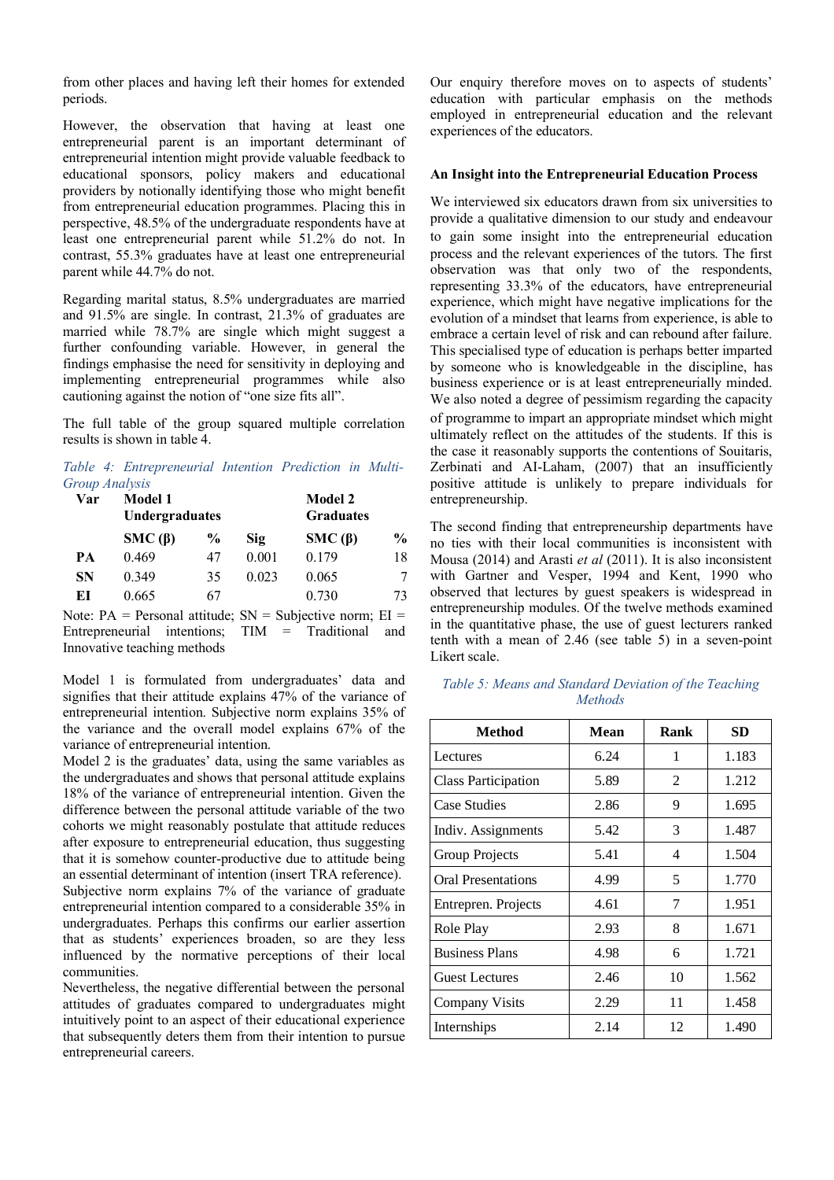from other places and having left their homes for extended periods.

However, the observation that having at least one entrepreneurial parent is an important determinant of entrepreneurial intention might provide valuable feedback to educational sponsors, policy makers and educational providers by notionally identifying those who might benefit from entrepreneurial education programmes. Placing this in perspective, 48.5% of the undergraduate respondents have at least one entrepreneurial parent while 51.2% do not. In contrast, 55.3% graduates have at least one entrepreneurial parent while 44.7% do not.

Regarding marital status, 8.5% undergraduates are married and 91.5% are single. In contrast, 21.3% of graduates are married while 78.7% are single which might suggest a further confounding variable. However, in general the findings emphasise the need for sensitivity in deploying and implementing entrepreneurial programmes while also cautioning against the notion of "one size fits all".

The full table of the group squared multiple correlation results is shown in table 4.

*Table 4: Entrepreneurial Intention Prediction in Multi-Group Analysis*

| Var       | <b>Model 1</b><br>Undergraduates |      |       | <b>Model 2</b><br><b>Graduates</b> |               |
|-----------|----------------------------------|------|-------|------------------------------------|---------------|
|           | $SMC(\beta)$                     | $\%$ | Sig   | $SMC(\beta)$                       | $\frac{6}{9}$ |
| PA        | 0.469                            | 47   | 0.001 | 0.179                              | 18            |
| <b>SN</b> | 0.349                            | 35   | 0.023 | 0.065                              | 7             |
| EI        | 0.665                            | 67   |       | 0.730                              | 73            |

Note:  $PA = Personal$  attitude;  $SN = Subjective$  norm;  $EI =$ Entrepreneurial intentions; TIM = Traditional and Innovative teaching methods

Model 1 is formulated from undergraduates' data and signifies that their attitude explains 47% of the variance of entrepreneurial intention. Subjective norm explains 35% of the variance and the overall model explains 67% of the variance of entrepreneurial intention.

Model 2 is the graduates' data, using the same variables as the undergraduates and shows that personal attitude explains 18% of the variance of entrepreneurial intention. Given the difference between the personal attitude variable of the two cohorts we might reasonably postulate that attitude reduces after exposure to entrepreneurial education, thus suggesting that it is somehow counter-productive due to attitude being an essential determinant of intention (insert TRA reference). Subjective norm explains 7% of the variance of graduate entrepreneurial intention compared to a considerable 35% in undergraduates. Perhaps this confirms our earlier assertion that as students' experiences broaden, so are they less influenced by the normative perceptions of their local communities.

Nevertheless, the negative differential between the personal attitudes of graduates compared to undergraduates might intuitively point to an aspect of their educational experience that subsequently deters them from their intention to pursue entrepreneurial careers.

Our enquiry therefore moves on to aspects of students' education with particular emphasis on the methods employed in entrepreneurial education and the relevant experiences of the educators.

## **An Insight into the Entrepreneurial Education Process**

We interviewed six educators drawn from six universities to provide a qualitative dimension to our study and endeavour to gain some insight into the entrepreneurial education process and the relevant experiences of the tutors. The first observation was that only two of the respondents, representing 33.3% of the educators, have entrepreneurial experience, which might have negative implications for the evolution of a mindset that learns from experience, is able to embrace a certain level of risk and can rebound after failure. This specialised type of education is perhaps better imparted by someone who is knowledgeable in the discipline, has business experience or is at least entrepreneurially minded. We also noted a degree of pessimism regarding the capacity of programme to impart an appropriate mindset which might ultimately reflect on the attitudes of the students. If this is the case it reasonably supports the contentions of Souitaris, Zerbinati and AI-Laham, (2007) that an insufficiently positive attitude is unlikely to prepare individuals for entrepreneurship.

The second finding that entrepreneurship departments have no ties with their local communities is inconsistent with Mousa (2014) and Arasti *et al* (2011). It is also inconsistent with Gartner and Vesper, 1994 and Kent, 1990 who observed that lectures by guest speakers is widespread in entrepreneurship modules. Of the twelve methods examined in the quantitative phase, the use of guest lecturers ranked tenth with a mean of 2.46 (see table 5) in a seven-point Likert scale.

*Table 5: Means and Standard Deviation of the Teaching Methods*

| Method                     | Mean | Rank | <b>SD</b> |
|----------------------------|------|------|-----------|
| Lectures                   | 6.24 | 1    | 1.183     |
| <b>Class Participation</b> | 5.89 | 2    | 1.212     |
| Case Studies               | 2.86 | 9    | 1.695     |
| Indiv. Assignments         | 5.42 | 3    | 1.487     |
| <b>Group Projects</b>      | 5.41 | 4    | 1.504     |
| <b>Oral Presentations</b>  | 4.99 | 5    | 1.770     |
| Entrepren. Projects        | 4.61 | 7    | 1.951     |
| Role Play                  | 2.93 | 8    | 1.671     |
| <b>Business Plans</b>      | 4.98 | 6    | 1.721     |
| <b>Guest Lectures</b>      | 2.46 | 10   | 1.562     |
| Company Visits             | 2.29 | 11   | 1.458     |
| Internships                | 2.14 | 12   | 1.490     |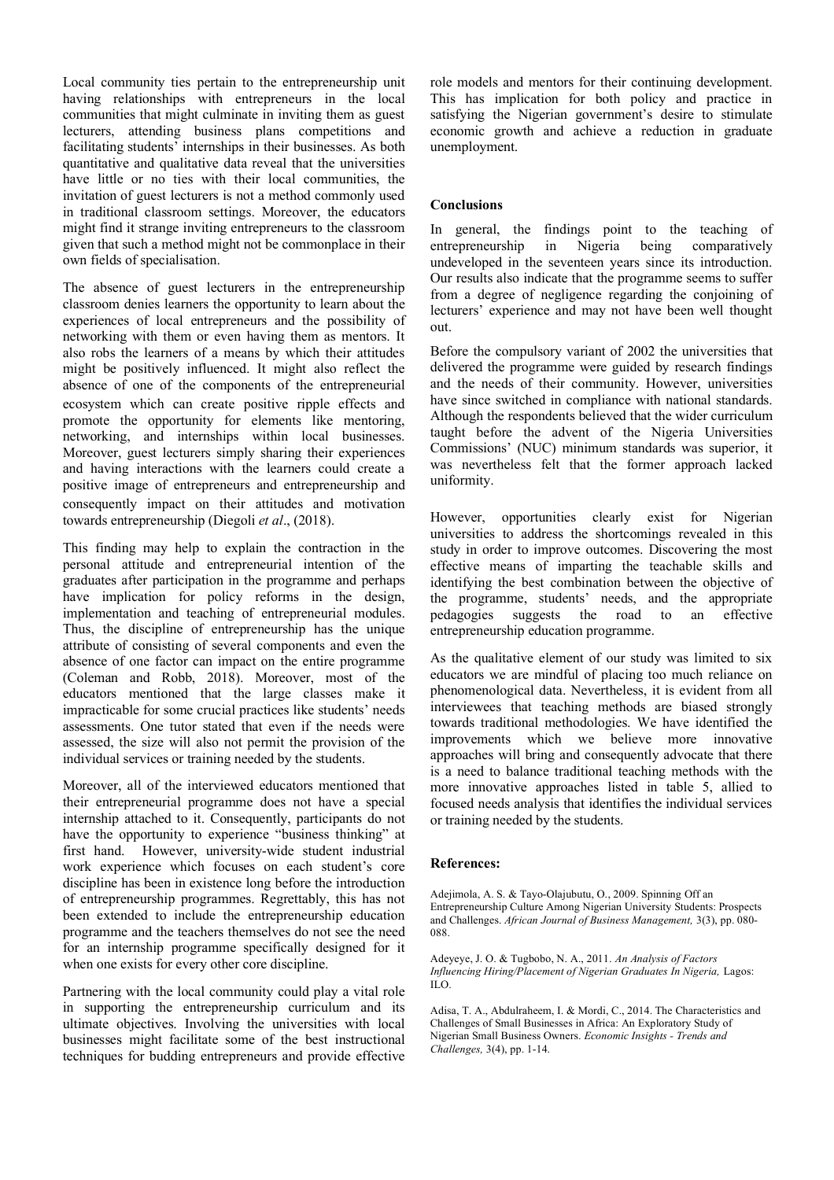Local community ties pertain to the entrepreneurship unit having relationships with entrepreneurs in the local communities that might culminate in inviting them as guest lecturers, attending business plans competitions and facilitating students<sup>7</sup> internships in their businesses. As both quantitative and qualitative data reveal that the universities have little or no ties with their local communities, the invitation of guest lecturers is not a method commonly used in traditional classroom settings. Moreover, the educators might find it strange inviting entrepreneurs to the classroom given that such a method might not be commonplace in their own fields of specialisation.

The absence of guest lecturers in the entrepreneurship classroom denies learners the opportunity to learn about the experiences of local entrepreneurs and the possibility of networking with them or even having them as mentors. It also robs the learners of a means by which their attitudes might be positively influenced. It might also reflect the absence of one of the components of the entrepreneurial ecosystem which can create positive ripple effects and promote the opportunity for elements like mentoring, networking, and internships within local businesses. Moreover, guest lecturers simply sharing their experiences and having interactions with the learners could create a positive image of entrepreneurs and entrepreneurship and consequently impact on their attitudes and motivation towards entrepreneurship (Diegoli *et al*., (2018).

This finding may help to explain the contraction in the personal attitude and entrepreneurial intention of the graduates after participation in the programme and perhaps have implication for policy reforms in the design, implementation and teaching of entrepreneurial modules. Thus, the discipline of entrepreneurship has the unique attribute of consisting of several components and even the absence of one factor can impact on the entire programme (Coleman and Robb, 2018). Moreover, most of the educators mentioned that the large classes make it impracticable for some crucial practices like students' needs assessments. One tutor stated that even if the needs were assessed, the size will also not permit the provision of the individual services or training needed by the students.

Moreover, all of the interviewed educators mentioned that their entrepreneurial programme does not have a special internship attached to it. Consequently, participants do not have the opportunity to experience "business thinking" at first hand. However, university-wide student industrial work experience which focuses on each student's core discipline has been in existence long before the introduction of entrepreneurship programmes. Regrettably, this has not been extended to include the entrepreneurship education programme and the teachers themselves do not see the need for an internship programme specifically designed for it when one exists for every other core discipline.

Partnering with the local community could play a vital role in supporting the entrepreneurship curriculum and its ultimate objectives. Involving the universities with local businesses might facilitate some of the best instructional techniques for budding entrepreneurs and provide effective role models and mentors for their continuing development. This has implication for both policy and practice in satisfying the Nigerian government's desire to stimulate economic growth and achieve a reduction in graduate unemployment.

# **Conclusions**

In general, the findings point to the teaching of entrepreneurship in Nigeria being comparatively undeveloped in the seventeen years since its introduction. Our results also indicate that the programme seems to suffer from a degree of negligence regarding the conjoining of lecturers' experience and may not have been well thought out.

Before the compulsory variant of 2002 the universities that delivered the programme were guided by research findings and the needs of their community. However, universities have since switched in compliance with national standards. Although the respondents believed that the wider curriculum taught before the advent of the Nigeria Universities Commissions' (NUC) minimum standards was superior, it was nevertheless felt that the former approach lacked uniformity.

However, opportunities clearly exist for Nigerian universities to address the shortcomings revealed in this study in order to improve outcomes. Discovering the most effective means of imparting the teachable skills and identifying the best combination between the objective of the programme, students' needs, and the appropriate pedagogies suggests the road to an effective entrepreneurship education programme.

As the qualitative element of our study was limited to six educators we are mindful of placing too much reliance on phenomenological data. Nevertheless, it is evident from all interviewees that teaching methods are biased strongly towards traditional methodologies. We have identified the improvements which we believe more innovative approaches will bring and consequently advocate that there is a need to balance traditional teaching methods with the more innovative approaches listed in table 5, allied to focused needs analysis that identifies the individual services or training needed by the students.

## **References:**

Adejimola, A. S. & Tayo-Olajubutu, O., 2009. Spinning Off an Entrepreneurship Culture Among Nigerian University Students: Prospects and Challenges. *African Journal of Business Management,* 3(3), pp. 080- 088.

Adeyeye, J. O. & Tugbobo, N. A., 2011. *An Analysis of Factors Influencing Hiring/Placement of Nigerian Graduates In Nigeria,* Lagos: ILO.

Adisa, T. A., Abdulraheem, I. & Mordi, C., 2014. The Characteristics and Challenges of Small Businesses in Africa: An Exploratory Study of Nigerian Small Business Owners. *Economic Insights - Trends and Challenges,* 3(4), pp. 1-14.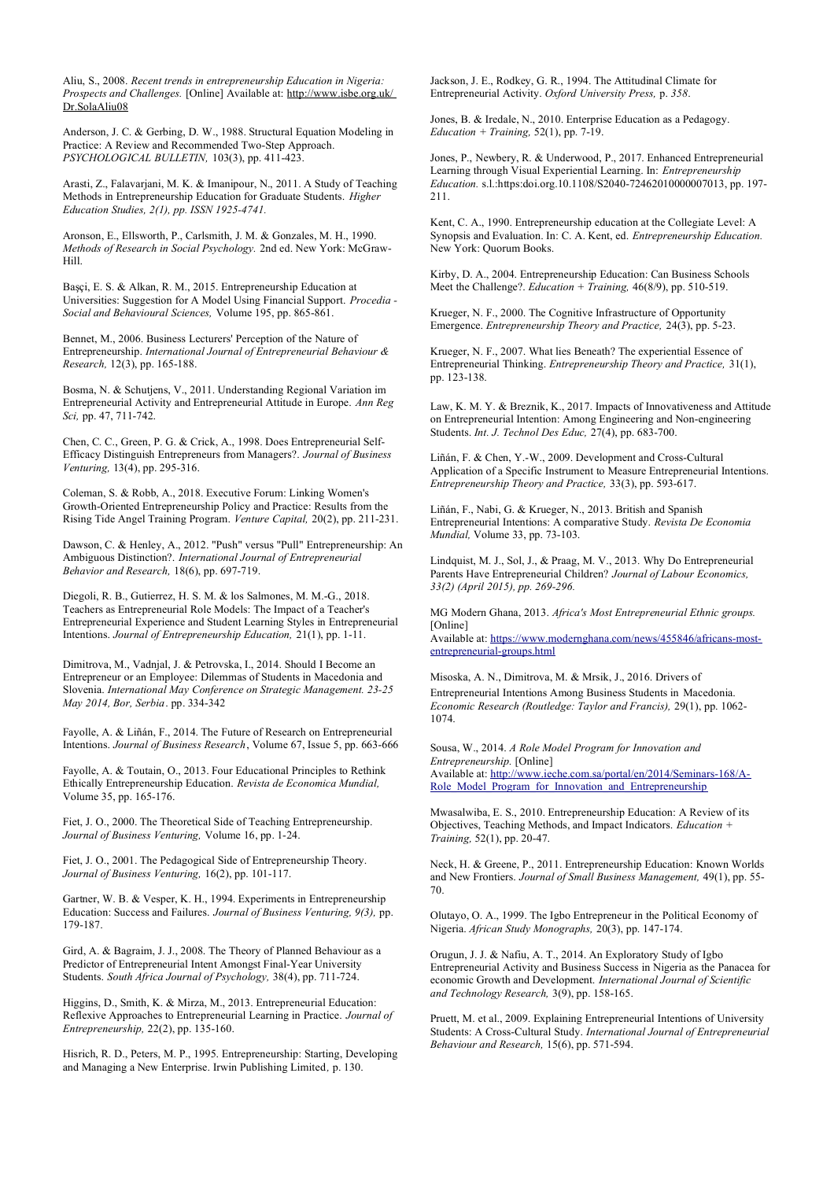Aliu, S., 2008. *Recent trends in entrepreneurship Education in Nigeria: Prospects and Challenges.* [Online] Available at: http://www.isbe.org.uk/ Dr.SolaAliu08

Anderson, J. C. & Gerbing, D. W., 1988. Structural Equation Modeling in Practice: A Review and Recommended Two-Step Approach. *PSYCHOLOGICAL BULLETIN,* 103(3), pp. 411-423.

Arasti, Z., Falavarjani, M. K. & Imanipour, N., 2011. A Study of Teaching Methods in Entrepreneurship Education for Graduate Students. *Higher Education Studies, 2(1), pp. ISSN 1925-4741.*

Aronson, E., Ellsworth, P., Carlsmith, J. M. & Gonzales, M. H., 1990. *Methods of Research in Social Psychology.* 2nd ed. New York: McGraw-Hill.

Başçi, E. S. & Alkan, R. M., 2015. Entrepreneurship Education at Universities: Suggestion for A Model Using Financial Support. *Procedia - Social and Behavioural Sciences,* Volume 195, pp. 865-861.

Bennet, M., 2006. Business Lecturers' Perception of the Nature of Entrepreneurship. *International Journal of Entrepreneurial Behaviour & Research,* 12(3), pp. 165-188.

Bosma, N. & Schutjens, V., 2011. Understanding Regional Variation im Entrepreneurial Activity and Entrepreneurial Attitude in Europe. *Ann Reg Sci,* pp. 47, 711-742.

Chen, C. C., Green, P. G. & Crick, A., 1998. Does Entrepreneurial Self-Efficacy Distinguish Entrepreneurs from Managers?. *Journal of Business Venturing,* 13(4), pp. 295-316.

Coleman, S. & Robb, A., 2018. Executive Forum: Linking Women's Growth-Oriented Entrepreneurship Policy and Practice: Results from the Rising Tide Angel Training Program. *Venture Capital,* 20(2), pp. 211-231.

Dawson, C. & Henley, A., 2012. "Push" versus "Pull" Entrepreneurship: An Ambiguous Distinction?. *International Journal of Entrepreneurial Behavior and Research,* 18(6), pp. 697-719.

Diegoli, R. B., Gutierrez, H. S. M. & los Salmones, M. M.-G., 2018. Teachers as Entrepreneurial Role Models: The Impact of a Teacher's Entrepreneurial Experience and Student Learning Styles in Entrepreneurial Intentions. *Journal of Entrepreneurship Education,* 21(1), pp. 1-11.

Dimitrova, M., Vadnjal, J. & Petrovska, I., 2014. Should I Become an Entrepreneur or an Employee: Dilemmas of Students in Macedonia and Slovenia. *International May Conference on Strategic Management. 23-25 May 2014, Bor, Serbia*. pp. 334-342

Fayolle, A. & Liñán, F., 2014. The Future of Research on Entrepreneurial Intentions. *Journal of Business Research*, Volume 67, Issue 5, pp. 663-666

Fayolle, A. & Toutain, O., 2013. Four Educational Principles to Rethink Ethically Entrepreneurship Education. *Revista de Economica Mundial,*  Volume 35, pp. 165-176.

Fiet, J. O., 2000. The Theoretical Side of Teaching Entrepreneurship. *Journal of Business Venturing,* Volume 16, pp. 1-24.

Fiet, J. O., 2001. The Pedagogical Side of Entrepreneurship Theory. *Journal of Business Venturing,* 16(2), pp. 101-117.

Gartner, W. B. & Vesper, K. H., 1994. Experiments in Entrepreneurship Education: Success and Failures. *Journal of Business Venturing, 9(3),* pp. 179-187.

Gird, A. & Bagraim, J. J., 2008. The Theory of Planned Behaviour as a Predictor of Entrepreneurial Intent Amongst Final-Year University Students. *South Africa Journal of Psychology,* 38(4), pp. 711-724.

Higgins, D., Smith, K. & Mirza, M., 2013. Entrepreneurial Education: Reflexive Approaches to Entrepreneurial Learning in Practice. *Journal of Entrepreneurship,* 22(2), pp. 135-160.

Hisrich, R. D., Peters, M. P., 1995. Entrepreneurship: Starting, Developing and Managing a New Enterprise. Irwin Publishing Limited*,* p. 130.

Jackson, J. E., Rodkey, G. R., 1994. The Attitudinal Climate for Entrepreneurial Activity. *Oxford University Press,* p. *358*.

Jones, B. & Iredale, N., 2010. Enterprise Education as a Pedagogy. *Education + Training,* 52(1), pp. 7-19.

Jones, P., Newbery, R. & Underwood, P., 2017. Enhanced Entrepreneurial Learning through Visual Experiential Learning. In: *Entrepreneurship Education.* s.l.:https:doi.org.10.1108/S2040-72462010000007013, pp. 197- 211.

Kent, C. A., 1990. Entrepreneurship education at the Collegiate Level: A Synopsis and Evaluation. In: C. A. Kent, ed. *Entrepreneurship Education.*  New York: Quorum Books.

Kirby, D. A., 2004. Entrepreneurship Education: Can Business Schools Meet the Challenge?. *Education + Training,* 46(8/9), pp. 510-519.

Krueger, N. F., 2000. The Cognitive Infrastructure of Opportunity Emergence. *Entrepreneurship Theory and Practice,* 24(3), pp. 5-23.

Krueger, N. F., 2007. What lies Beneath? The experiential Essence of Entrepreneurial Thinking. *Entrepreneurship Theory and Practice,* 31(1), pp. 123-138.

Law, K. M. Y. & Breznik, K., 2017. Impacts of Innovativeness and Attitude on Entrepreneurial Intention: Among Engineering and Non-engineering Students. *Int. J. Technol Des Educ,* 27(4), pp. 683-700.

Liñán, F. & Chen, Y.-W., 2009. Development and Cross-Cultural Application of a Specific Instrument to Measure Entrepreneurial Intentions. *Entrepreneurship Theory and Practice,* 33(3), pp. 593-617.

Liñán, F., Nabi, G. & Krueger, N., 2013. British and Spanish Entrepreneurial Intentions: A comparative Study. *Revista De Economia Mundial,* Volume 33, pp. 73-103.

Lindquist, M. J., Sol, J., & Praag, M. V., 2013*.* Why Do Entrepreneurial Parents Have Entrepreneurial Children? *Journal of Labour Economics, 33(2) (April 2015), pp. 269-296.*

MG Modern Ghana, 2013. *Africa's Most Entrepreneurial Ethnic groups.*  [Online] Available at: https://www.modernghana.com/news/455846/africans-mostentrepreneurial-groups.html

Misoska, A. N., Dimitrova, M. & Mrsik, J., 2016. Drivers of Entrepreneurial Intentions Among Business Students in Macedonia. *Economic Research (Routledge: Taylor and Francis),* 29(1), pp. 1062- 1074.

Sousa, W., 2014. *A Role Model Program for Innovation and Entrepreneurship.* [Online] Available at: http://www.ieche.com.sa/portal/en/2014/Seminars-168/A-Role Model Program for Innovation and Entrepreneurship

Mwasalwiba, E. S., 2010. Entrepreneurship Education: A Review of its Objectives, Teaching Methods, and Impact Indicators. *Education + Training,* 52(1), pp. 20-47.

Neck, H. & Greene, P., 2011. Entrepreneurship Education: Known Worlds and New Frontiers. *Journal of Small Business Management,* 49(1), pp. 55- 70.

Olutayo, O. A., 1999. The Igbo Entrepreneur in the Political Economy of Nigeria. *African Study Monographs,* 20(3), pp. 147-174.

Orugun, J. J. & Nafiu, A. T., 2014. An Exploratory Study of Igbo Entrepreneurial Activity and Business Success in Nigeria as the Panacea for economic Growth and Development. *International Journal of Scientific and Technology Research,* 3(9), pp. 158-165.

Pruett, M. et al., 2009. Explaining Entrepreneurial Intentions of University Students: A Cross-Cultural Study. *International Journal of Entrepreneurial Behaviour and Research,* 15(6), pp. 571-594.